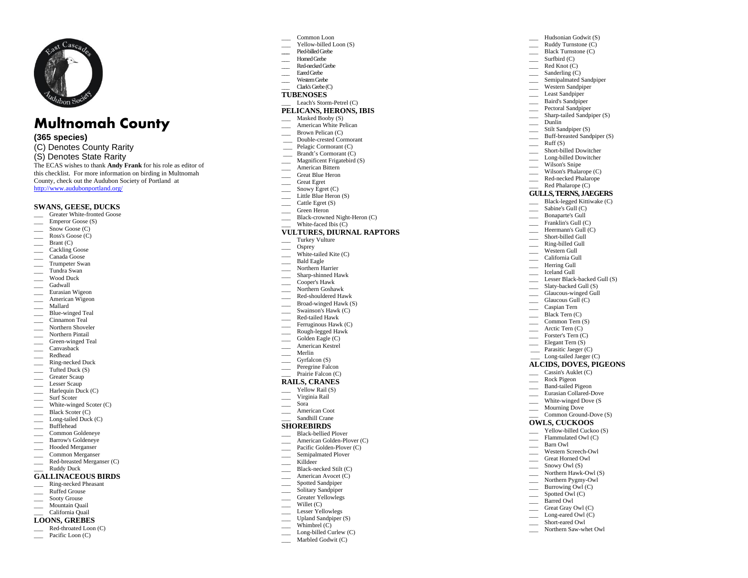

# Multnomah County

### **(365 species)**

(C) Denotes County Rarity (S) Denotes State Rarity The ECAS wishes to thank **Andy Frank** for his role as editor of this checklist. For more information on birding in Multnomah County, check out the Audubon Society of Portland at <http://www.audubonportland.org/>

#### **SWANS, GEESE, DUCKS**

- \_\_\_ Greater White -fronted Goose
- Emperor Goose (S)
- \_\_\_ Snow Goose (C)
- \_\_\_ Ross's Goose (C)
- $\qquad \qquad$  Brant (C)
- \_\_\_ Cackling Goose
- \_\_\_ Canada Goose
- \_\_\_ Trumpeter Swan
- \_\_\_ Tundra Swan
- \_\_\_ Wood Duck
- \_\_\_ Gadwall
- \_\_\_ Eurasian Wigeon \_\_\_ American Wigeon
- \_\_\_ Mallard
- \_\_\_ Blue -winged Teal
- \_\_\_ Cinnamon Teal
- \_\_\_ Northern Shoveler
- \_\_\_ Northern Pintail
- $\overline{\phantom{a}}$ Green -winged Teal
- \_\_\_ Canvasback
- Redhead
- \_\_\_ Ring -necked Duck
- Tufted Duck (S)
- Greater Scaup
- Lesser Scaup
- Harlequin Duck (C)
- \_\_\_\_\_\_ Surf Scoter
- \_\_\_ White -winged Scoter (C)
- Black Scoter (C)
- \_\_\_ Long-tailed Duck (C)
- \_\_\_ Bufflehead
- \_\_\_ Common Goldeneye
- \_\_\_ Barrow's Goldeneye \_\_\_ Hooded Merganser
- \_\_\_ Common Merganser
- \_\_\_ Red -breasted Merganser (C)

#### \_\_\_ Ruddy Duck

- **GALLINACEOUS BIRDS**
- \_\_\_ Ring -necked Pheasant
- \_\_\_ Ruffed Grouse
- $\overline{\phantom{a}}$ Sooty Grouse
- $\overline{\phantom{a}}$ Mountain Quail
- \_\_\_ California Quail

## **LOONS, GREBES**

\_\_\_ Red -throated Loon (C) \_\_\_ Pacific Loon (C )

- Common Loon
- $\overline{\phantom{0}}$ Yellow -billed Loon (S)
- **\_\_\_** Pied-billed Grebe
- \_\_\_ Horned Grebe
- Red-necked Grebe Eared Grebe
- Western Grebe
- \_\_\_ Clark's Grebe (C)
- **TUBENOSES**
- \_\_\_ Leach's Storm -Petrel (C)

# **PELICANS, HERONS, IBIS**

\_\_\_ Hudsonian Godwit ( S ) Ruddy Turnstone (C) Black Turnstone (C)  $\overline{\phantom{a}}$  Surfbird (C) Red Knot (C) Sanderling (C) Semipalmated Sandpiper \_\_\_ Western Sandpiper Least Sandpiper \_\_\_ Baird's Sandpiper Pectoral Sandpiper \_\_\_ Sharp -tailed Sandpiper (S)

> Stilt Sandpiper (S) Buff-breasted Sandpiper (S)

Short-billed Dowitcher \_\_\_ Long -billed Dowitcher Wilson's Snipe \_\_\_ Wilson's Phalarope ( C ) \_\_\_ Red -necked Phalarope Red Phalarope (C) **GULLS, TERNS, JAEGERS**

Black -legged Kittiwake (C) Sabine's Gull (C) \_\_\_ Bonaparte's Gull \_\_\_ Franklin's Gull (C ) Heermann's Gull (C) \_\_\_ Short -billed Gull \_\_\_ Ring -billed Gull Western Gull \_\_\_ California Gull Herring Gull \_\_\_ Iceland Gull \_\_\_ Lesser Black -backed Gull (S) \_\_\_ Slaty -backed Gull (S) \_\_\_ Glaucous -winged Gull Glaucous Gull (C) \_\_\_ Caspian Tern Black Tern (C) \_\_\_ Common Tern (S) \_\_\_ Arctic Tern (C) \_\_\_ Forster's Tern ( C ) Elegant Tern (S) Parasitic Jaeger (C) \_\_\_ Long -tailed Jaeger (C) **ALCIDS, DOVES, PIGEONS**  $\frac{1}{\sqrt{2}}$  Cassin's Auklet (C)

\_\_\_ Dunlin

\_\_\_

 $\overline{\phantom{a}}$ 

R ock Pigeo n \_\_\_ Band -tailed Pigeon \_\_\_ Eurasian Collared -Dove \_\_\_ White -winged Dove (S \_\_\_ Mourning Dove \_\_\_ Common Ground -Dov e (S) **OWLS, CUCKOOS** \_\_\_ Yellow -billed Cuckoo (S) Flammulated Owl (C) \_\_\_ Barn Owl \_\_\_ Western Screech -Owl Great Horned Owl Snowy Owl (S) \_\_\_ Northern Hawk -Owl (S) \_\_\_ Northern Pygmy -Owl Burrowing Owl (C) \_\_\_ Spotted Owl (C) Barred Owl Great Gray Owl (C) \_\_\_ Long -eared Owl (C) \_\_\_ Short -eared Owl \_\_\_ Northern Saw -whet Owl

 $Ruff(S)$ 

- Masked Booby (S)
- American White Pelican
- \_\_\_ Brown Pelican (C)
- \_\_\_ Double -crested Cormorant Pelagic Cormorant (C)
- 
- \_\_\_ Brandt ' s Cormorant (C) Magnificent Frigatebird (S)
- \_\_\_ American Bittern
- \_\_\_ Great Blue Heron
- \_\_\_ Great Egret
- Snowy Egret (C)
- \_\_\_ Little Blue Heron (S )
- Cattle Egret (S)
- \_\_\_ Green Heron
- \_\_\_ Black-crowned Night-Heron (C)
- \_\_\_ White -faced Ibis (C)

#### **VULTURES, DIURNAL RAPTORS**

- \_\_\_ Turkey Vulture
- Osprey
- \_\_\_ White -tailed Kite (C)
- Bald Eagle
- Northern Harrier
- \_\_\_ Sharp -shinned Hawk
- Cooper's Hawk
- Northern Goshawk
- \_\_\_ Red -shouldered Hawk
- \_\_\_ Broad -winged Hawk (S) Swainson's Hawk (C)
- \_\_\_ Red -tailed Hawk
- Ferruginous Hawk (C)
- \_\_\_ Rough -legged Hawk
- Golden Eagle (C)
- American Kestrel
- \_\_\_ Merlin
- Gyrfalcon (S)
- Peregrine Falcon
- Prairie Falcon (C)

#### **RAILS, CRANES**

- Yellow Rail (S)
- \_\_\_ Virginia Rail
- \_\_\_ Sora

 $\overline{a}$ 

- \_\_\_ American Coot
- $\overline{a}$ Sandhill Crane

#### **SHOREBIRDS**

\_\_\_ Black -bellied Plover \_\_\_ American Golden -Plover (C) \_\_\_ Pacific Golden -Plover (C) \_\_\_\_ Semipalmated Plover Killdeer \_\_\_ Black -necked Stilt (C) American Avocet (C) Spotted Sandpiper Solitary Sandpiper Greater Yellowlegs Willet (C) Lesser Yellowlegs

\_ Upland Sandpiper (S) Whimbrel  $(C)$ \_\_\_\_ Long-billed Curlew (C) Marbled Godwit (C)